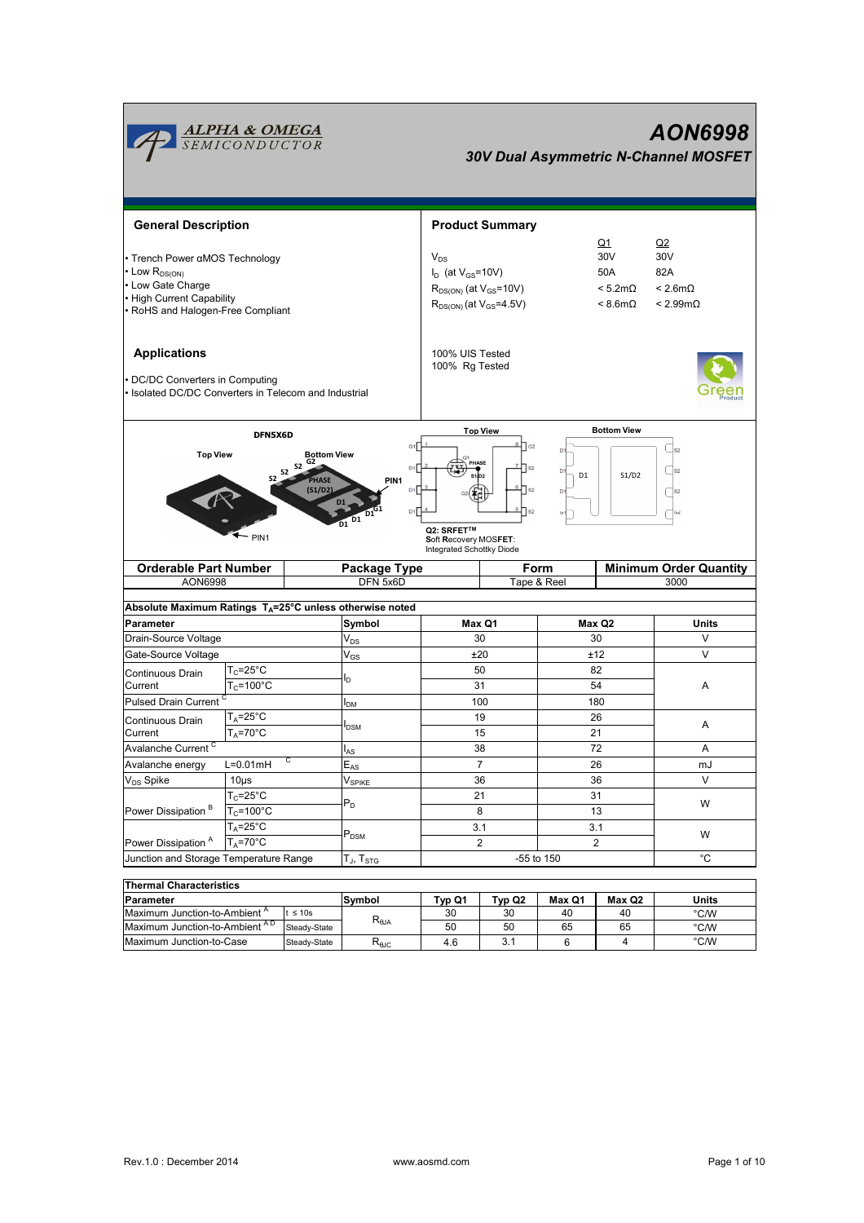

| i i nemiai Unaracteristics  |              |                |        |        |        |        |       |  |  |
|-----------------------------|--------------|----------------|--------|--------|--------|--------|-------|--|--|
| Parameter                   |              | Symbol         | Tvp Q1 | Tvp Q2 | Max Q1 | Max Q2 | Units |  |  |
| Maximum Junction-to-Ambient | $\leq 10s$   |                | 30     | 30     | 40     | 40     | °C/W  |  |  |
| Maximum Junction-to-Ambient | Steady-State | $R_{\theta$ JA | 50     | 50     | 65     | 65     | °C/W  |  |  |
| Maximum Junction-to-Case    | Steady-State | $R_{\theta$ JC | 4.6    |        |        |        | °C/W  |  |  |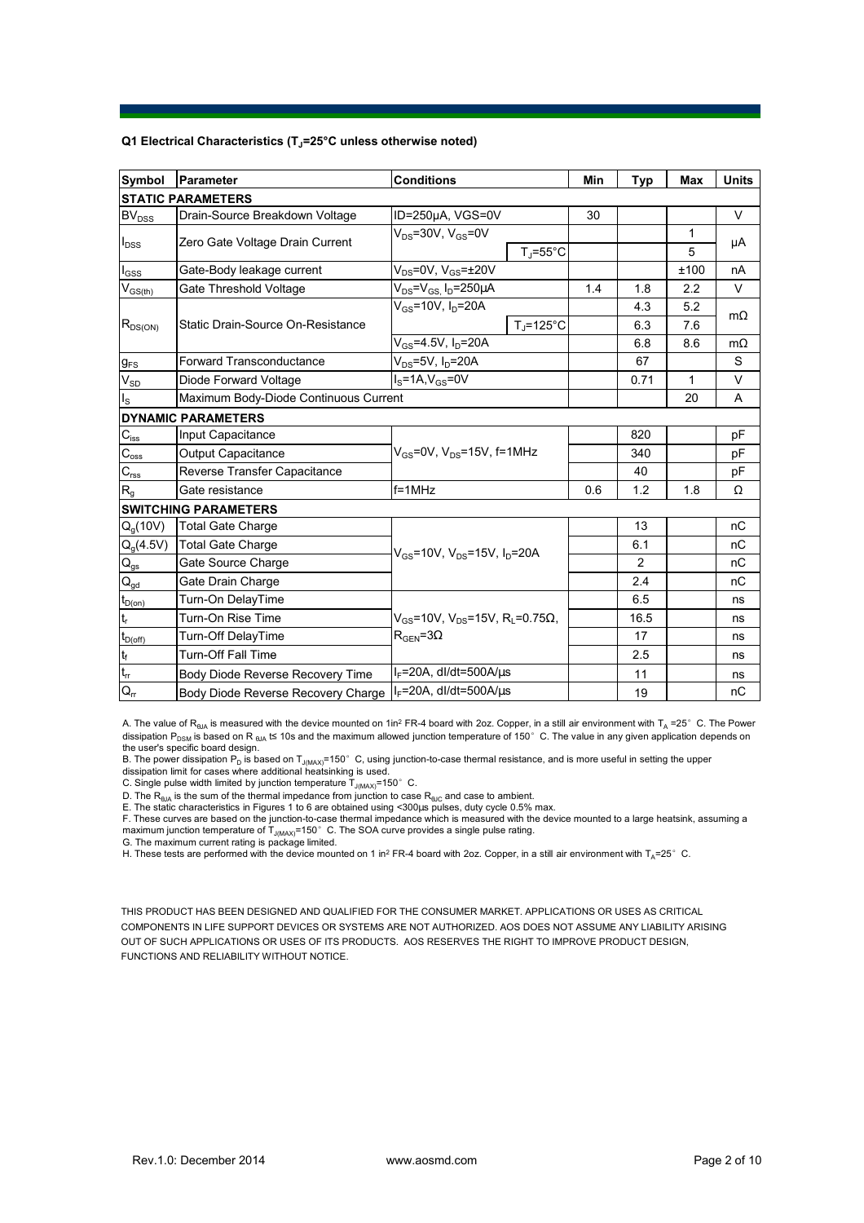## **Q1 Electrical Characteristics (TJ=25°C unless otherwise noted)**

| <b>Symbol</b>                          | <b>Parameter</b>                      | <b>Conditions</b>                                                                                  |                     | Min | <b>Typ</b> | <b>Max</b> | <b>Units</b> |  |  |
|----------------------------------------|---------------------------------------|----------------------------------------------------------------------------------------------------|---------------------|-----|------------|------------|--------------|--|--|
| <b>STATIC PARAMETERS</b>               |                                       |                                                                                                    |                     |     |            |            |              |  |  |
| <b>BV<sub>DSS</sub></b>                | Drain-Source Breakdown Voltage        | ID=250µA, VGS=0V                                                                                   |                     | 30  |            |            | V            |  |  |
| $I_{DSS}$                              | Zero Gate Voltage Drain Current       | $V_{DS}$ =30V, $V_{GS}$ =0V                                                                        |                     |     |            | 1          |              |  |  |
|                                        |                                       |                                                                                                    | $T_i = 55^{\circ}C$ |     |            | 5          | μA           |  |  |
| $I_{GSS}$                              | Gate-Body leakage current             | $V_{DS}$ =0V, $V_{GS}$ = $\pm$ 20V                                                                 |                     |     |            | ±100       | nA           |  |  |
| $V_{GS(th)}$                           | Gate Threshold Voltage                | $V_{DS}$ = $V_{GS}$ , I <sub>D</sub> =250 $\mu$ A                                                  |                     | 1.4 | 1.8        | 2.2        | V            |  |  |
| $R_{DS(ON)}$                           | Static Drain-Source On-Resistance     | $V_{GS}$ =10V, $I_D$ =20A                                                                          |                     |     | 4.3        | 5.2        | $m\Omega$    |  |  |
|                                        |                                       |                                                                                                    | $T_i = 125$ °C      |     | 6.3        | 7.6        |              |  |  |
|                                        |                                       | $V_{GS} = 4.5V$ , $I_D = 20A$                                                                      |                     |     | 6.8        | 8.6        | $m\Omega$    |  |  |
| $g_{FS}$                               | Forward Transconductance              | $V_{DS}$ =5V, $I_D$ =20A                                                                           |                     |     | 67         |            | S            |  |  |
| $V_{SD}$                               | Diode Forward Voltage                 | $IS=1A, VGS=0V$                                                                                    |                     |     | 0.71       | 1          | V            |  |  |
| $I_{\rm S}$                            | Maximum Body-Diode Continuous Current |                                                                                                    |                     |     |            | 20         | A            |  |  |
|                                        | <b>DYNAMIC PARAMETERS</b>             |                                                                                                    |                     |     |            |            |              |  |  |
| $C_{\text{iss}}$                       | Input Capacitance                     | $V_{GS}$ =0V, $V_{DS}$ =15V, f=1MHz                                                                |                     |     | 820        |            | pF           |  |  |
| $\overline{C_{\rm oss}}$               | Output Capacitance                    |                                                                                                    |                     |     | 340        |            | рF           |  |  |
| $C_{\text{rss}}$                       | Reverse Transfer Capacitance          |                                                                                                    |                     |     | 40         |            | рF           |  |  |
| R <sub>g</sub>                         | Gate resistance                       | $f = 1$ MHz                                                                                        |                     | 0.6 | 1.2        | 1.8        | Ω            |  |  |
|                                        | <b>SWITCHING PARAMETERS</b>           |                                                                                                    |                     |     |            |            |              |  |  |
| $Q_q(10V)$                             | <b>Total Gate Charge</b>              | $V_{GS}$ =10V, $V_{DS}$ =15V, $I_D$ =20A                                                           |                     |     | 13         |            | nC           |  |  |
| $Q_q(4.5V)$                            | <b>Total Gate Charge</b>              |                                                                                                    |                     |     | 6.1        |            | nC           |  |  |
| $Q_{gs}$                               | Gate Source Charge                    |                                                                                                    |                     |     | 2          |            | nC           |  |  |
| $\mathsf{Q}_{\underline{\mathsf{gd}}}$ | Gate Drain Charge                     |                                                                                                    |                     |     | 2.4        |            | nC           |  |  |
| $t_{D(0n)}$                            | Turn-On DelayTime                     | $V_{GS}$ =10V, V <sub>DS</sub> =15V, R <sub>L</sub> =0.75 $\Omega$ ,<br>$R_{\text{GFN}} = 3\Omega$ |                     |     | 6.5        |            | ns           |  |  |
| $t_{\sf r}$                            | Turn-On Rise Time                     |                                                                                                    |                     |     | 16.5       |            | ns           |  |  |
| $t_{D(off)}$                           | Turn-Off DelayTime                    |                                                                                                    |                     |     | 17         |            | ns           |  |  |
| $\mathfrak{t}_{\mathsf{f}}$            | <b>Turn-Off Fall Time</b>             |                                                                                                    |                     |     | 2.5        |            | ns           |  |  |
| $t_{rr}$                               | Body Diode Reverse Recovery Time      | $I_F$ =20A, dl/dt=500A/ $\mu$ s                                                                    |                     |     | 11         |            | ns           |  |  |
| $Q_{rr}$                               | Body Diode Reverse Recovery Charge    | $I_F$ =20A, dl/dt=500A/ $\mu$ s                                                                    |                     |     | 19         |            | nC           |  |  |

A. The value of  $R_{\theta JA}$  is measured with the device mounted on 1in<sup>2</sup> FR-4 board with 2oz. Copper, in a still air environment with T<sub>A</sub> =25°C. The Power dissipation P<sub>DSM</sub> is based on R <sub>θJA</sub> t≤ 10s and the maximum allowed junction temperature of 150°C. The value in any given application depends on

the user's specific board design.<br>B. The power dissipation P<sub>D</sub> is based on T<sub>J(MAX)</sub>=150° C, using junction-to-case thermal resistance, and is more useful in setting the upper<br>dissipation limit for cases where additional

D. The  $\mathsf{R}_{\sf 0JA}$  is the sum of the thermal impedance from junction to case  $\mathsf{R}_{\sf 6JC}$  and case to ambient.

E. The static characteristics in Figures 1 to 6 are obtained using <300us pulses, duty cycle 0.5% max.

F. These curves are based on the junction-to-case thermal impedance which is measured with the device mounted to a large heatsink, assuming a maximum junction temperature of  $T_{J(MAX)}$ =150°C. The SOA curve provides a single pulse rating.

G. The maximum current rating is package limited.

H. These tests are performed with the device mounted on 1 in<sup>2</sup> FR-4 board with 2oz. Copper, in a still air environment with T<sub>A</sub>=25°C.

THIS PRODUCT HAS BEEN DESIGNED AND QUALIFIED FOR THE CONSUMER MARKET. APPLICATIONS OR USES AS CRITICAL COMPONENTS IN LIFE SUPPORT DEVICES OR SYSTEMS ARE NOT AUTHORIZED. AOS DOES NOT ASSUME ANY LIABILITY ARISING OUT OF SUCH APPLICATIONS OR USES OF ITS PRODUCTS. AOS RESERVES THE RIGHT TO IMPROVE PRODUCT DESIGN, FUNCTIONS AND RELIABILITY WITHOUT NOTICE.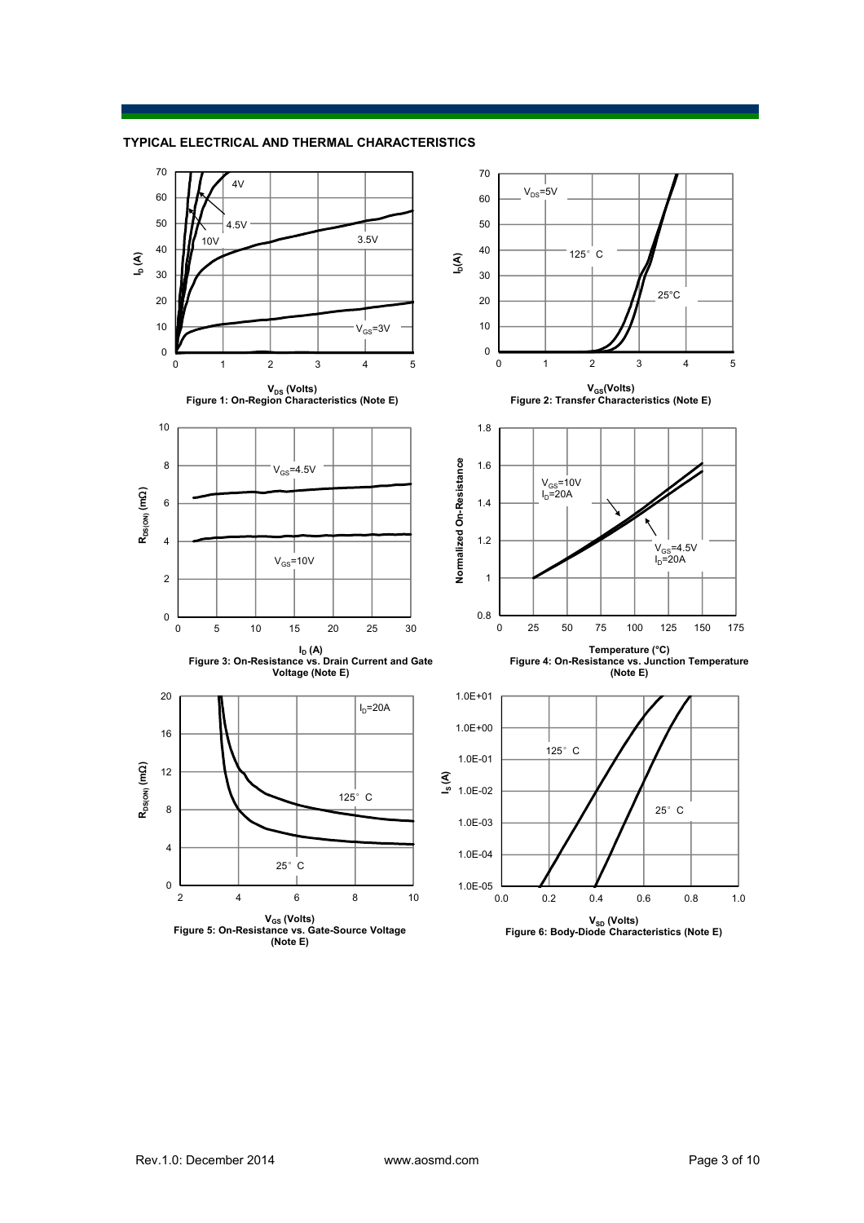**TYPICAL ELECTRICAL AND THERMAL CHARACTERISTICS**

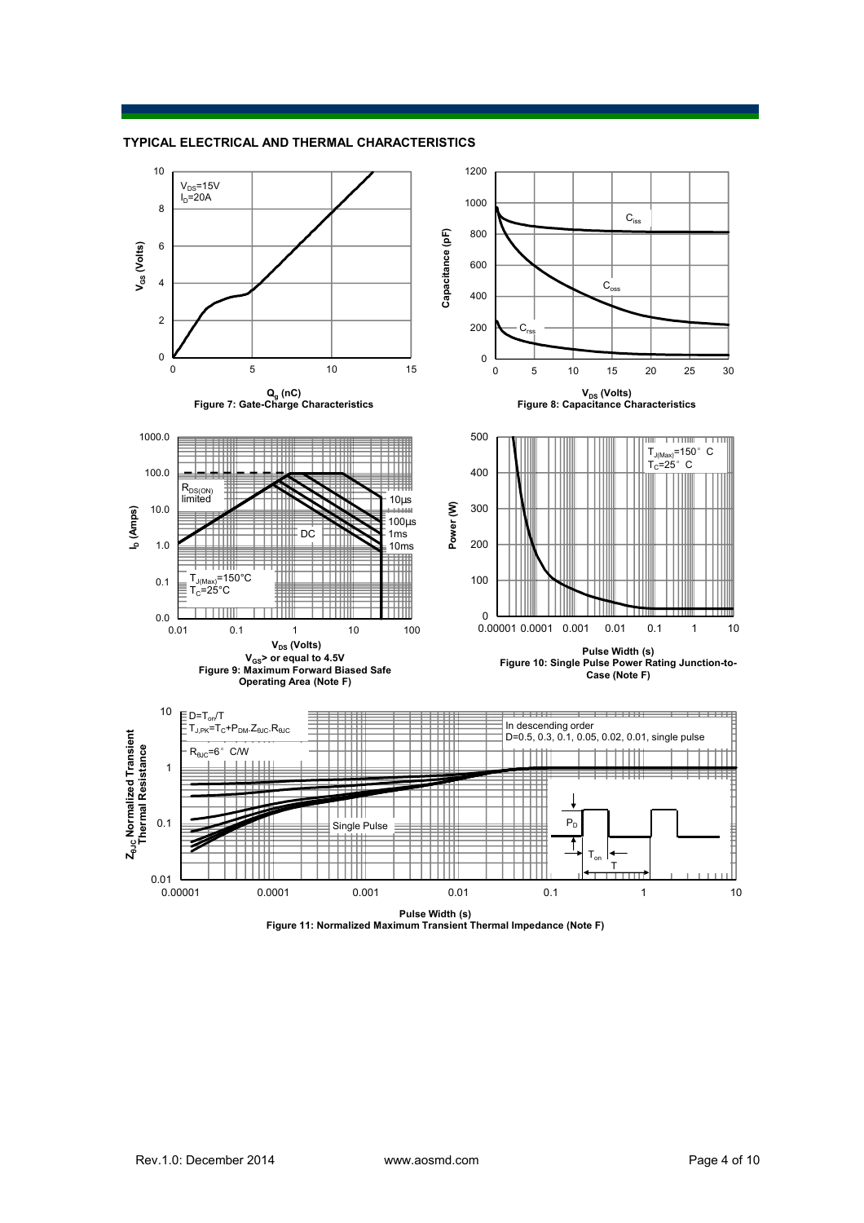



**Pulse Width (s) Figure 11: Normalized Maximum Transient Thermal Impedance (Note F)**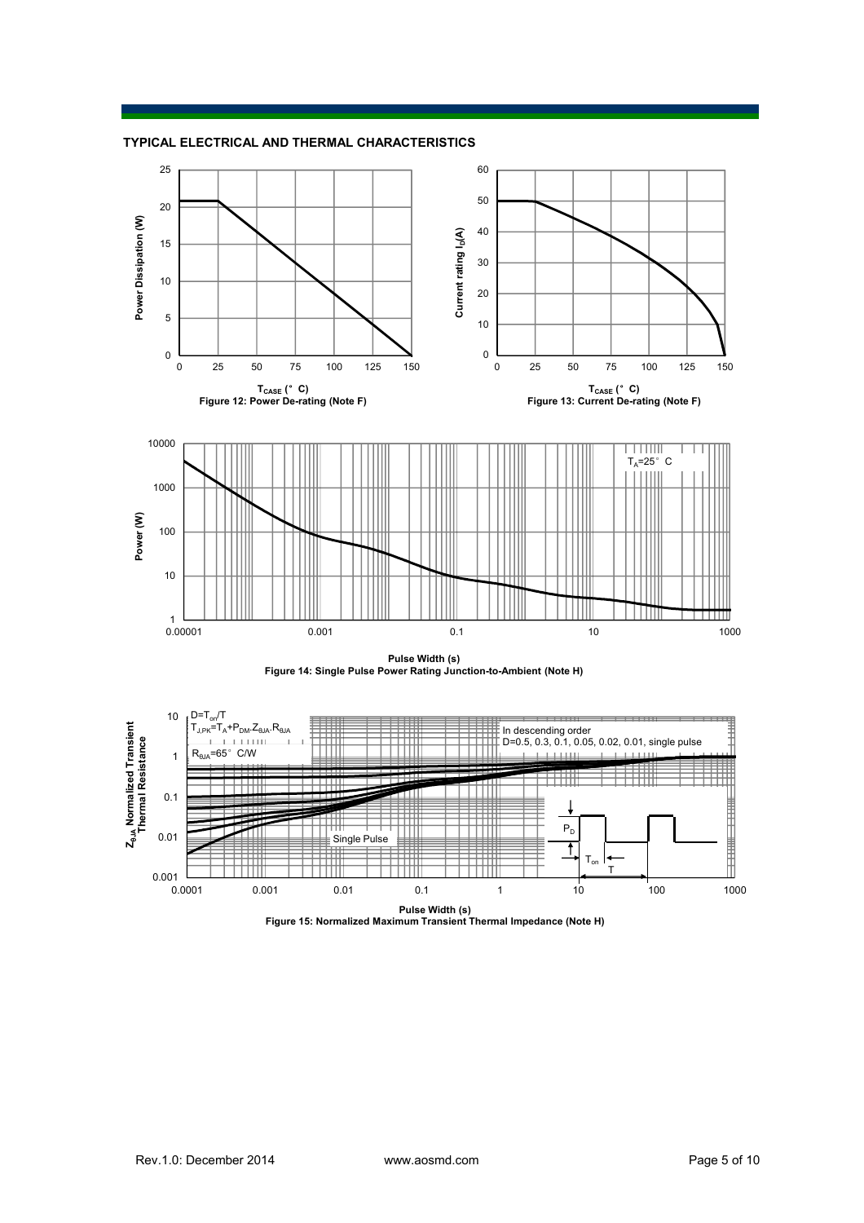







**Pulse Width (s) Figure 15: Normalized Maximum Transient Thermal Impedance (Note H)**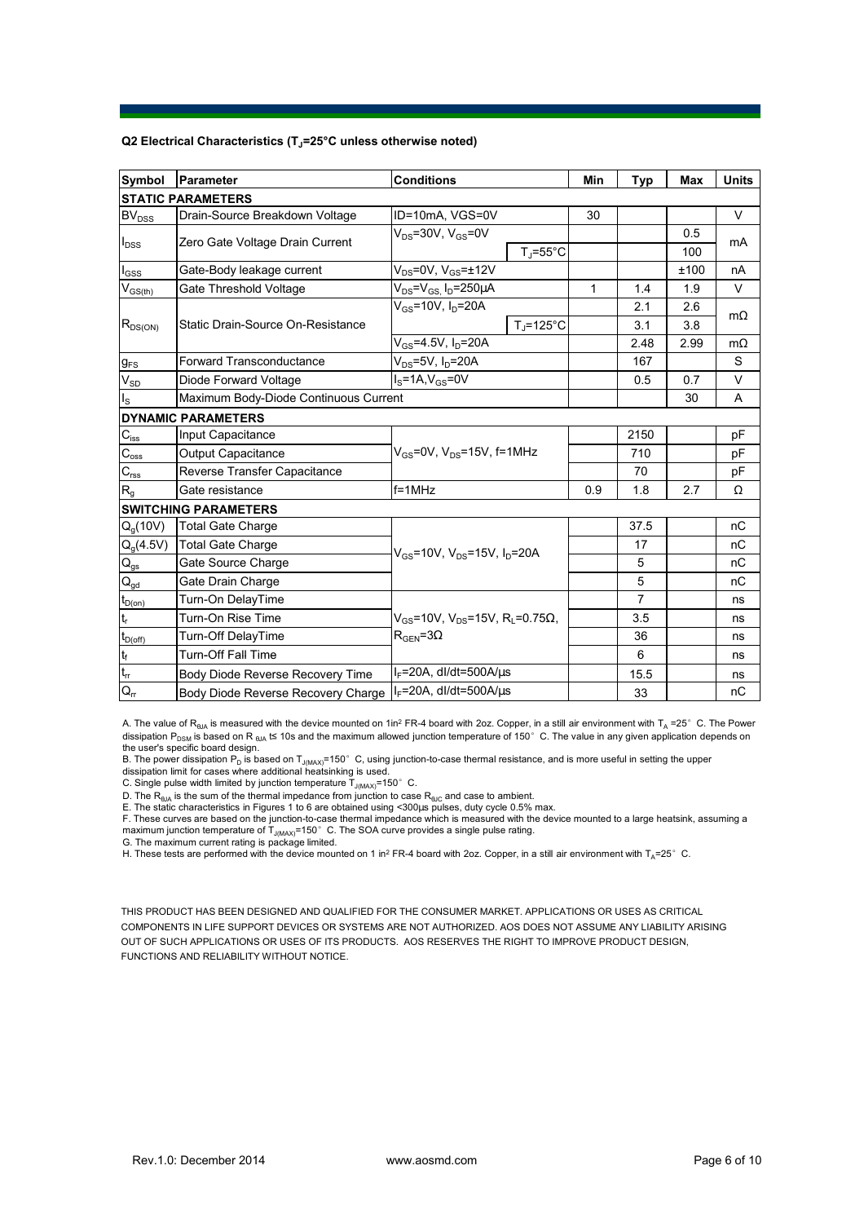## **Q2 Electrical Characteristics (TJ=25°C unless otherwise noted)**

| Symbol                                 | Parameter                             | <b>Conditions</b>                                                                           |                      | Min | <b>Typ</b>     | <b>Max</b> | <b>Units</b> |  |  |
|----------------------------------------|---------------------------------------|---------------------------------------------------------------------------------------------|----------------------|-----|----------------|------------|--------------|--|--|
| <b>STATIC PARAMETERS</b>               |                                       |                                                                                             |                      |     |                |            |              |  |  |
| <b>BV<sub>DSS</sub></b>                | Drain-Source Breakdown Voltage        | ID=10mA, VGS=0V                                                                             |                      | 30  |                |            | V            |  |  |
| $I_{DSS}$                              | Zero Gate Voltage Drain Current       | $V_{DS}$ =30V, $V_{GS}$ =0V<br>$T_i = 55^{\circ}C$                                          |                      |     |                | 0.5        | mA           |  |  |
|                                        |                                       |                                                                                             |                      |     |                | 100        |              |  |  |
| $I_{GSS}$                              | Gate-Body leakage current             | $V_{DS}$ =0V, $V_{GS}$ = $\pm$ 12V                                                          |                      |     |                | ±100       | nA           |  |  |
| $V_{GS$                                | Gate Threshold Voltage                | $V_{DS} = V_{GS}$ , $I_D = 250 \mu A$                                                       |                      | 1   | 1.4            | 1.9        | V            |  |  |
|                                        | Static Drain-Source On-Resistance     | $V_{GS}$ =10V, $I_D$ =20A                                                                   |                      |     | 2.1            | 2.6        |              |  |  |
| $R_{DS(ON)}$                           |                                       |                                                                                             | $T_i = 125^{\circ}C$ |     | 3.1            | 3.8        | $m\Omega$    |  |  |
|                                        |                                       | $V_{GS} = 4.5V, I_D = 20A$                                                                  |                      |     | 2.48           | 2.99       | $m\Omega$    |  |  |
| $g_{FS}$                               | <b>Forward Transconductance</b>       | $V_{DS}$ =5V, $I_D$ =20A                                                                    |                      |     | 167            |            | S            |  |  |
| $V_{SD}$                               | Diode Forward Voltage                 | $I_S = 1A$ , $V_{GS} = 0V$                                                                  |                      |     | 0.5            | 0.7        | $\vee$       |  |  |
| $I_{\rm S}$                            | Maximum Body-Diode Continuous Current |                                                                                             |                      |     |                | 30         | A            |  |  |
|                                        | <b>DYNAMIC PARAMETERS</b>             |                                                                                             |                      |     |                |            |              |  |  |
| $C_{\hbox{\tiny lSS}}$                 | Input Capacitance                     | $V_{GS}$ =0V, $V_{DS}$ =15V, f=1MHz                                                         |                      |     | 2150           |            | pF           |  |  |
| $C_{\rm oss}$                          | <b>Output Capacitance</b>             |                                                                                             |                      |     | 710            |            | рF           |  |  |
| $C_{\text{rss}}$                       | Reverse Transfer Capacitance          |                                                                                             |                      |     | 70             |            | pF           |  |  |
| R <sub>g</sub>                         | Gate resistance                       | $f = 1$ MHz                                                                                 |                      | 0.9 | 1.8            | 2.7        | Ω            |  |  |
|                                        | <b>SWITCHING PARAMETERS</b>           |                                                                                             |                      |     |                |            |              |  |  |
| $Q_q(10V)$                             | <b>Total Gate Charge</b>              | $V_{GS}$ =10V, $V_{DS}$ =15V, $I_D$ =20A                                                    |                      |     | 37.5           |            | nC           |  |  |
| $Q_g(4.5V)$                            | <b>Total Gate Charge</b>              |                                                                                             |                      |     | 17             |            | nC           |  |  |
| $Q_{gs}$                               | Gate Source Charge                    |                                                                                             |                      |     | 5              |            | nC           |  |  |
| $\mathsf{Q}_{\underline{\mathsf{gd}}}$ | Gate Drain Charge                     |                                                                                             |                      |     | 5              |            | nC           |  |  |
| $t_{D(0n)}$                            | Turn-On DelayTime                     | $V_{GS}$ =10V, $V_{DS}$ =15V, R <sub>L</sub> =0.75 $\Omega$ ,<br>$R_{\text{GEN}} = 3\Omega$ |                      |     | $\overline{7}$ |            | ns           |  |  |
| $t_{r}$                                | Turn-On Rise Time                     |                                                                                             |                      |     | 3.5            |            | ns           |  |  |
| $t_{D(off)}$                           | Turn-Off DelayTime                    |                                                                                             |                      |     | 36             |            | ns           |  |  |
| $\mathfrak{t}_{\mathsf{f}}$            | <b>Turn-Off Fall Time</b>             |                                                                                             |                      |     | 6              |            | ns           |  |  |
| $\mathsf{t}_{\mathsf{rr}}$             | Body Diode Reverse Recovery Time      | $I_F$ =20A, dl/dt=500A/ $\mu$ s                                                             |                      |     | 15.5           |            | ns           |  |  |
| $Q_{rr}$                               | Body Diode Reverse Recovery Charge    | $I_F$ =20A, dl/dt=500A/ $\mu$ s                                                             |                      |     | 33             |            | nC           |  |  |

A. The value of  $R_{\theta JA}$  is measured with the device mounted on 1in<sup>2</sup> FR-4 board with 2oz. Copper, in a still air environment with T<sub>A</sub> =25°C. The Power dissipation P<sub>DSM</sub> is based on R <sub>θJA</sub> t≤ 10s and the maximum allowed junction temperature of 150°C. The value in any given application depends on

the user's specific board design.<br>B. The power dissipation P<sub>D</sub> is based on T<sub>J(MAX)</sub>=150° C, using junction-to-case thermal resistance, and is more useful in setting the upper<br>dissipation limit for cases where additional

D. The  $\mathsf{R}_{\sf 0JA}$  is the sum of the thermal impedance from junction to case  $\mathsf{R}_{\sf 6JC}$  and case to ambient.

E. The static characteristics in Figures 1 to 6 are obtained using <300us pulses, duty cycle 0.5% max.

F. These curves are based on the junction-to-case thermal impedance which is measured with the device mounted to a large heatsink, assuming a maximum junction temperature of  $T_{J(MAX)}$ =150°C. The SOA curve provides a single pulse rating.

G. The maximum current rating is package limited.

H. These tests are performed with the device mounted on 1 in<sup>2</sup> FR-4 board with 2oz. Copper, in a still air environment with T<sub>A</sub>=25°C.

THIS PRODUCT HAS BEEN DESIGNED AND QUALIFIED FOR THE CONSUMER MARKET. APPLICATIONS OR USES AS CRITICAL COMPONENTS IN LIFE SUPPORT DEVICES OR SYSTEMS ARE NOT AUTHORIZED. AOS DOES NOT ASSUME ANY LIABILITY ARISING OUT OF SUCH APPLICATIONS OR USES OF ITS PRODUCTS. AOS RESERVES THE RIGHT TO IMPROVE PRODUCT DESIGN, FUNCTIONS AND RELIABILITY WITHOUT NOTICE.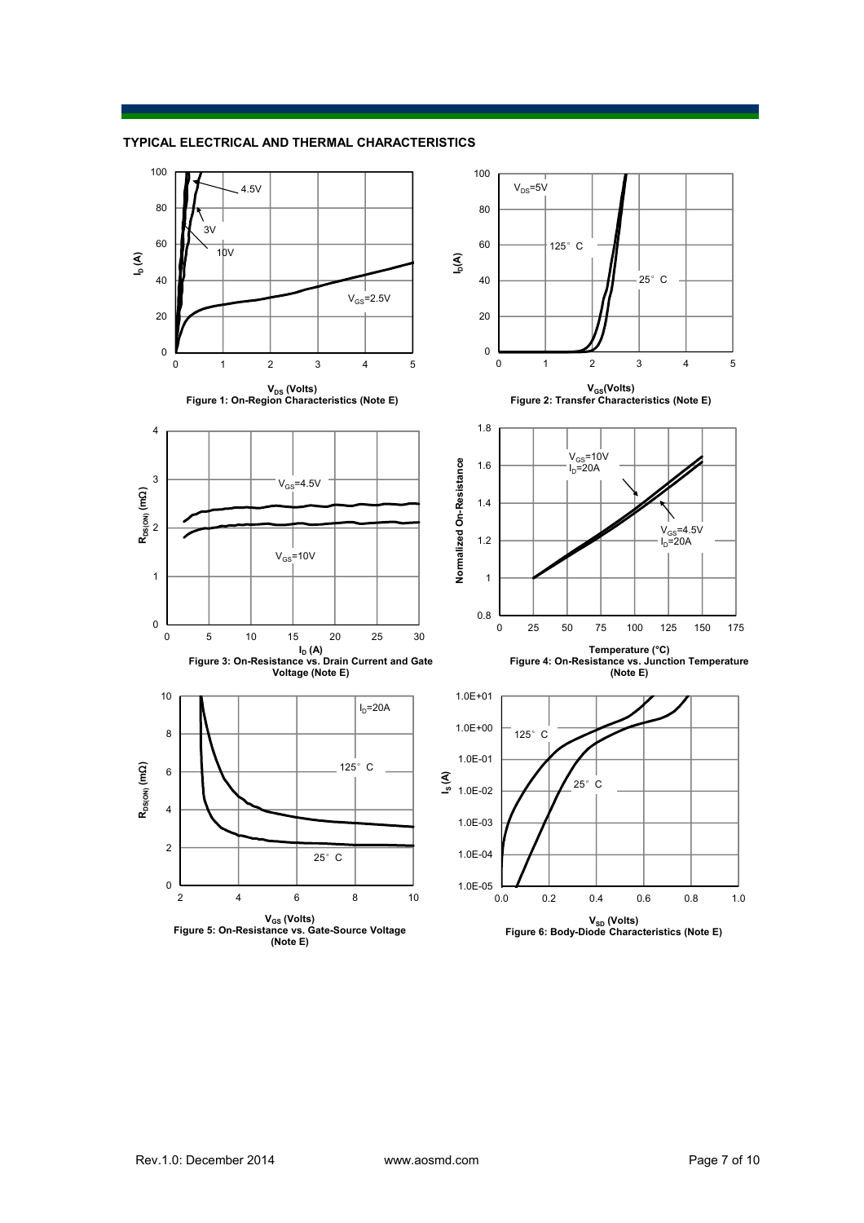

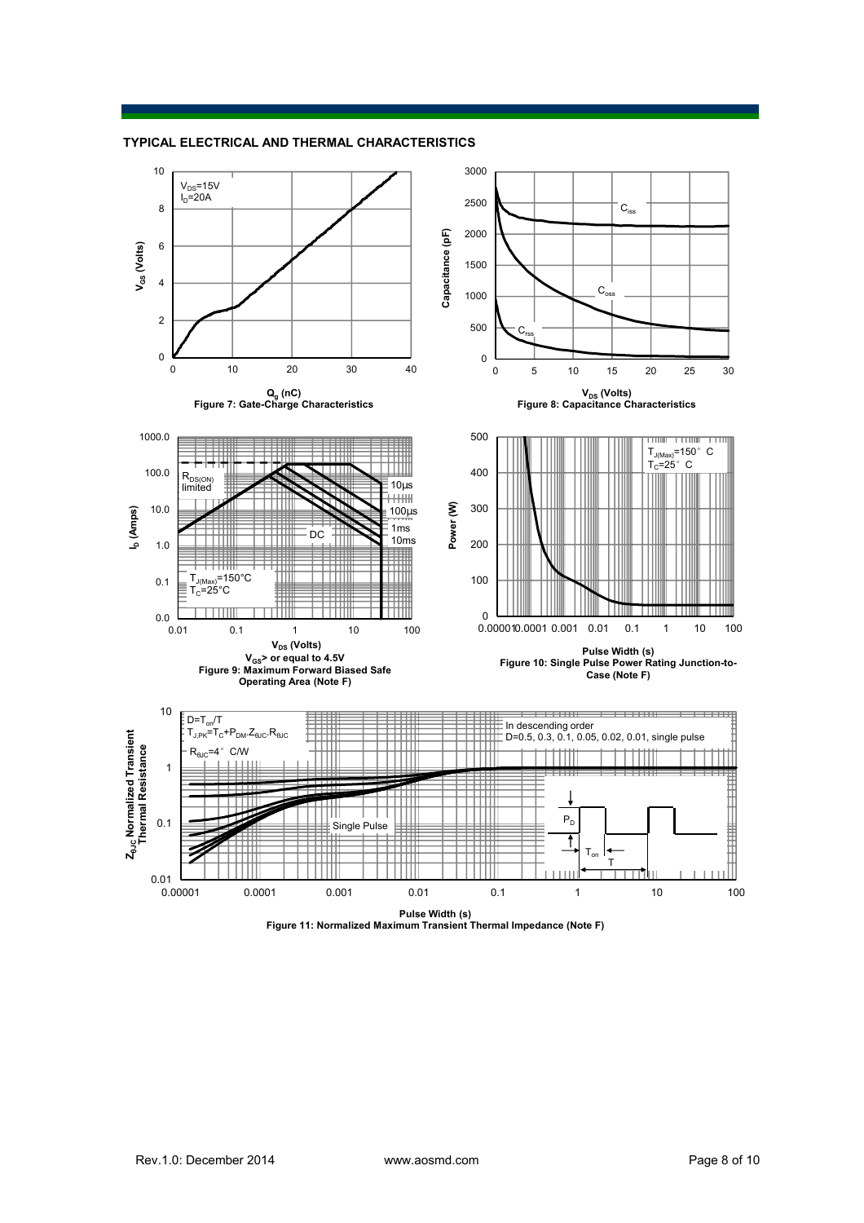



**Pulse Width (s) Figure 11: Normalized Maximum Transient Thermal Impedance (Note F)**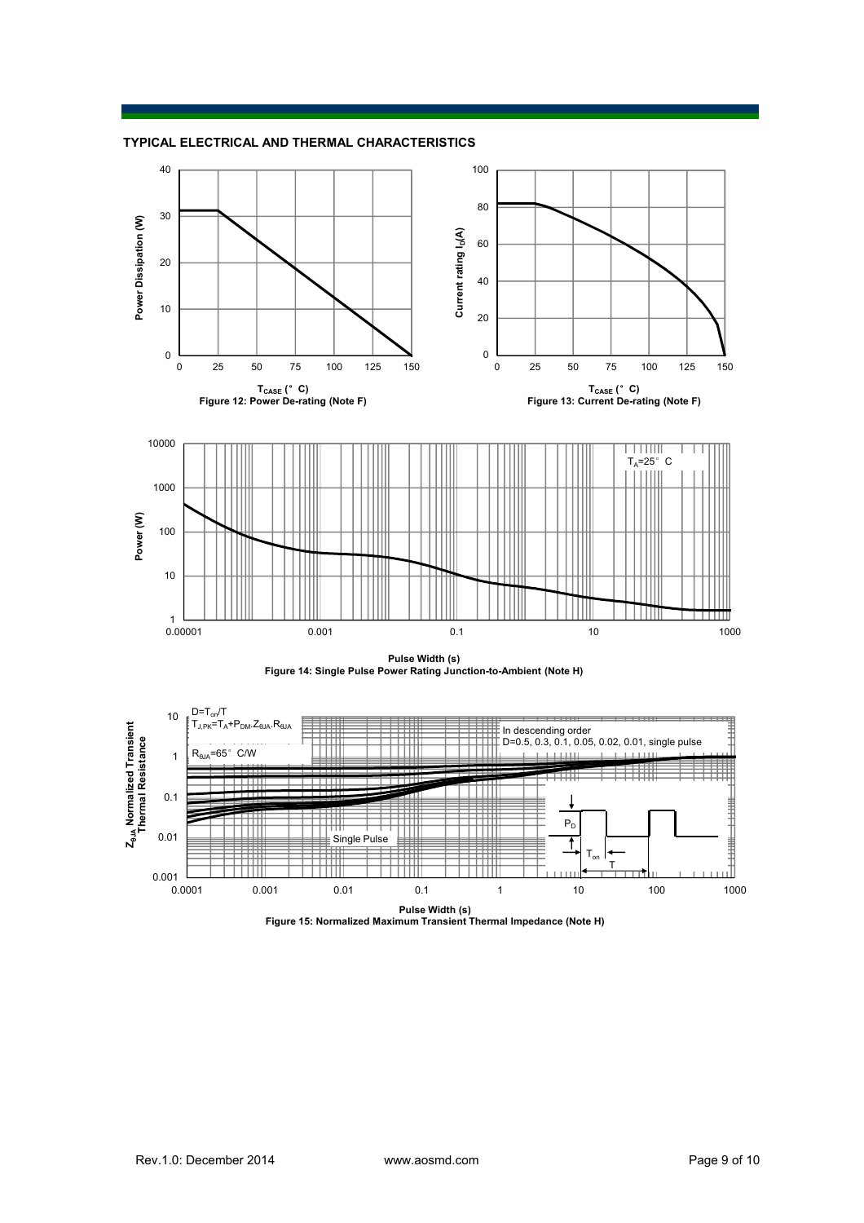





**Pulse Width (s) Figure 15: Normalized Maximum Transient Thermal Impedance (Note H)**